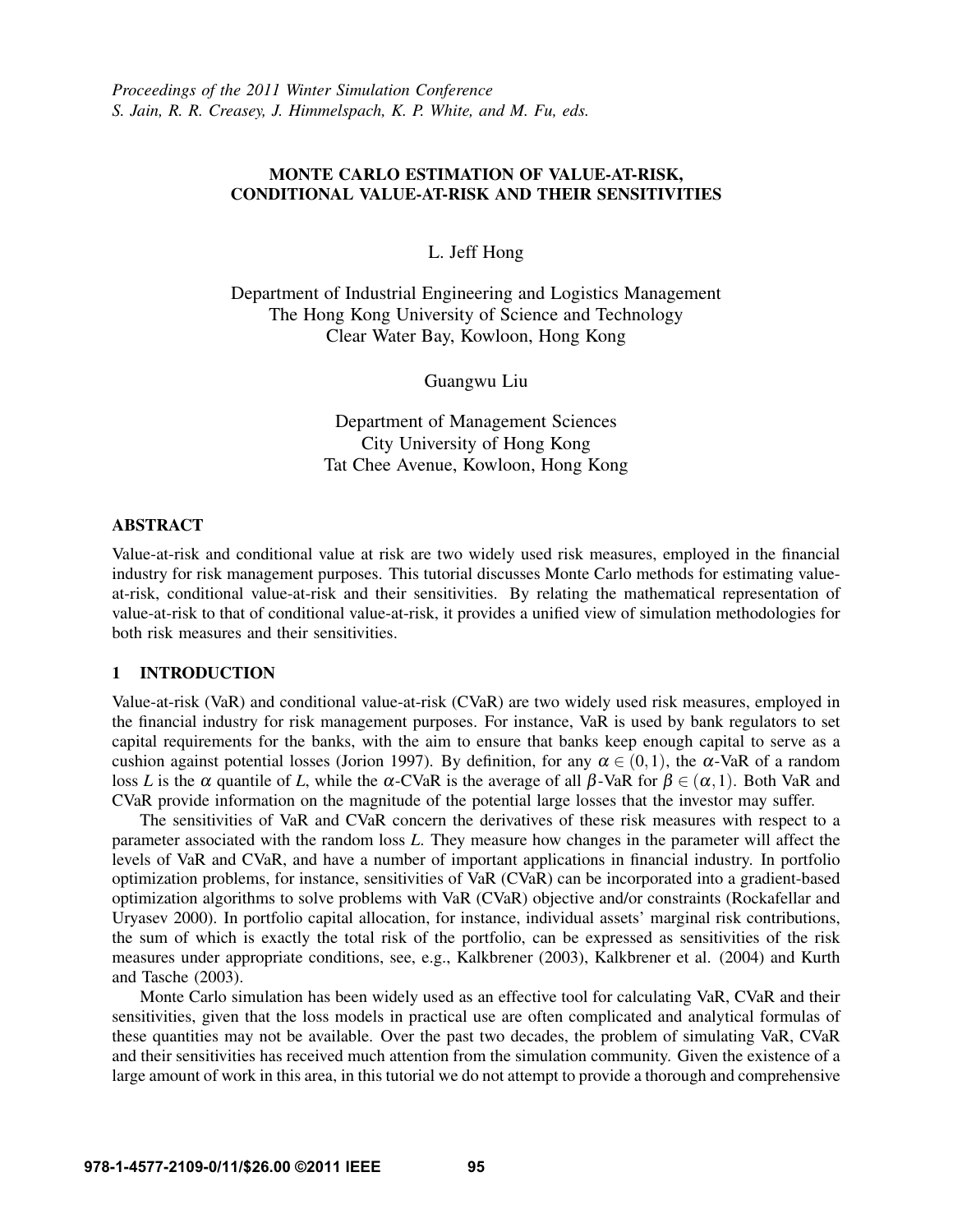# MONTE CARLO ESTIMATION OF VALUE-AT-RISK, CONDITIONAL VALUE-AT-RISK AND THEIR SENSITIVITIES

L. Jeff Hong

Department of Industrial Engineering and Logistics Management The Hong Kong University of Science and Technology Clear Water Bay, Kowloon, Hong Kong

Guangwu Liu

Department of Management Sciences City University of Hong Kong Tat Chee Avenue, Kowloon, Hong Kong

#### ABSTRACT

Value-at-risk and conditional value at risk are two widely used risk measures, employed in the financial industry for risk management purposes. This tutorial discusses Monte Carlo methods for estimating valueat-risk, conditional value-at-risk and their sensitivities. By relating the mathematical representation of value-at-risk to that of conditional value-at-risk, it provides a unified view of simulation methodologies for both risk measures and their sensitivities.

### 1 INTRODUCTION

Value-at-risk (VaR) and conditional value-at-risk (CVaR) are two widely used risk measures, employed in the financial industry for risk management purposes. For instance, VaR is used by bank regulators to set capital requirements for the banks, with the aim to ensure that banks keep enough capital to serve as a cushion against potential losses (Jorion 1997). By definition, for any  $\alpha \in (0,1)$ , the  $\alpha$ -VaR of a random loss *L* is the  $\alpha$  quantile of *L*, while the  $\alpha$ -CVaR is the average of all  $\beta$ -VaR for  $\beta \in (\alpha, 1)$ . Both VaR and CVaR provide information on the magnitude of the potential large losses that the investor may suffer.

The sensitivities of VaR and CVaR concern the derivatives of these risk measures with respect to a parameter associated with the random loss *L*. They measure how changes in the parameter will affect the levels of VaR and CVaR, and have a number of important applications in financial industry. In portfolio optimization problems, for instance, sensitivities of VaR (CVaR) can be incorporated into a gradient-based optimization algorithms to solve problems with VaR (CVaR) objective and/or constraints (Rockafellar and Uryasev 2000). In portfolio capital allocation, for instance, individual assets' marginal risk contributions, the sum of which is exactly the total risk of the portfolio, can be expressed as sensitivities of the risk measures under appropriate conditions, see, e.g., Kalkbrener (2003), Kalkbrener et al. (2004) and Kurth and Tasche (2003).

Monte Carlo simulation has been widely used as an effective tool for calculating VaR, CVaR and their sensitivities, given that the loss models in practical use are often complicated and analytical formulas of these quantities may not be available. Over the past two decades, the problem of simulating VaR, CVaR and their sensitivities has received much attention from the simulation community. Given the existence of a large amount of work in this area, in this tutorial we do not attempt to provide a thorough and comprehensive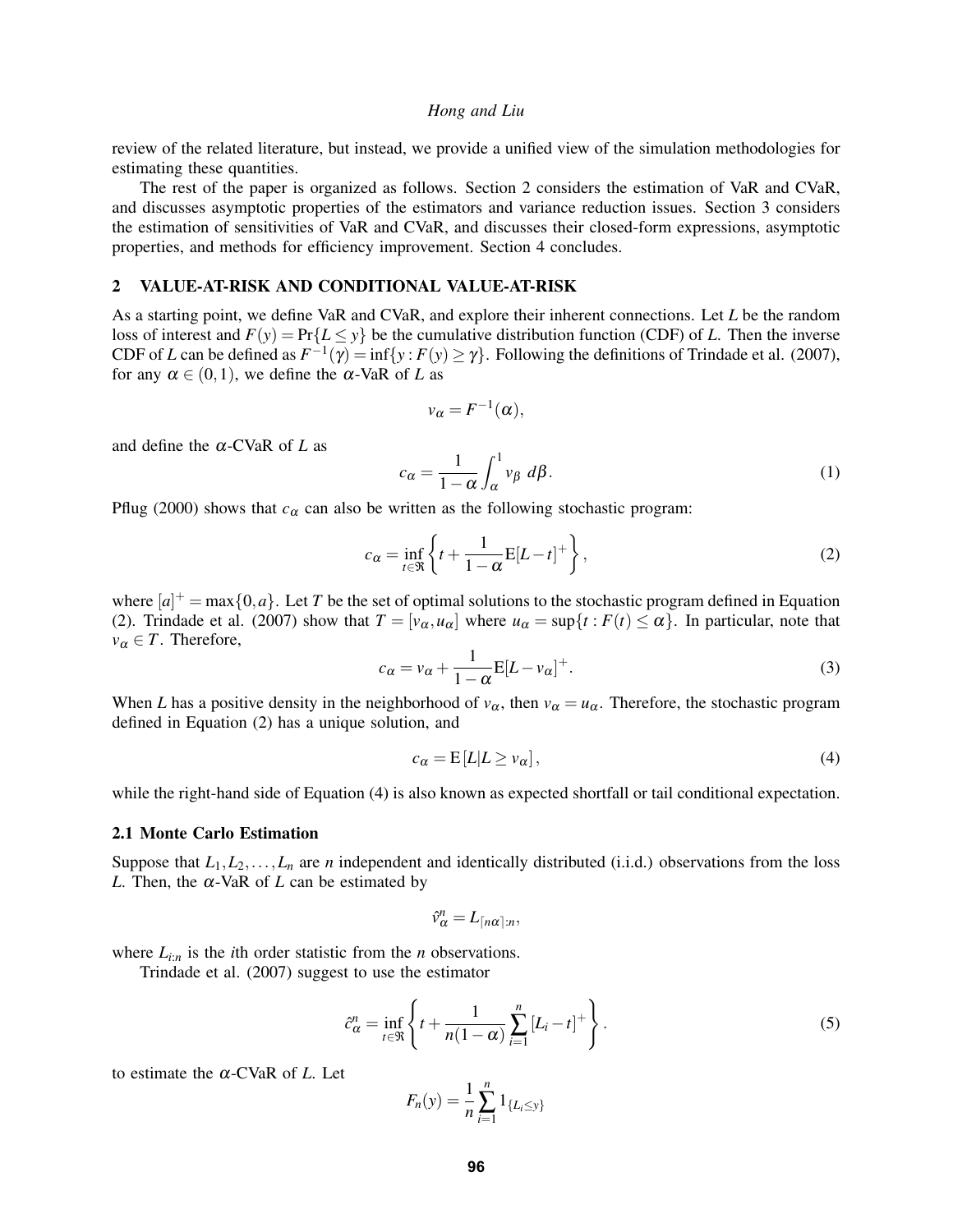review of the related literature, but instead, we provide a unified view of the simulation methodologies for estimating these quantities.

The rest of the paper is organized as follows. Section 2 considers the estimation of VaR and CVaR, and discusses asymptotic properties of the estimators and variance reduction issues. Section 3 considers the estimation of sensitivities of VaR and CVaR, and discusses their closed-form expressions, asymptotic properties, and methods for efficiency improvement. Section 4 concludes.

#### 2 VALUE-AT-RISK AND CONDITIONAL VALUE-AT-RISK

As a starting point, we define VaR and CVaR, and explore their inherent connections. Let *L* be the random loss of interest and  $F(y) = Pr{L \le y}$  be the cumulative distribution function (CDF) of *L*. Then the inverse CDF of *L* can be defined as  $F^{-1}(\gamma) = \inf\{y : F(y) \ge \gamma\}$ . Following the definitions of Trindade et al. (2007), for any  $\alpha \in (0,1)$ , we define the  $\alpha$ -VaR of *L* as

$$
v_{\alpha} = F^{-1}(\alpha),
$$

and define the α-CVaR of *L* as

$$
c_{\alpha} = \frac{1}{1 - \alpha} \int_{\alpha}^{1} v_{\beta} d\beta.
$$
 (1)

Pflug (2000) shows that  $c_{\alpha}$  can also be written as the following stochastic program:

$$
c_{\alpha} = \inf_{t \in \mathfrak{R}} \left\{ t + \frac{1}{1 - \alpha} \mathbb{E}[L - t]^{+} \right\},\tag{2}
$$

where  $[a]^+$  = max $\{0,a\}$ . Let *T* be the set of optimal solutions to the stochastic program defined in Equation (2). Trindade et al. (2007) show that  $T = [v_\alpha, u_\alpha]$  where  $u_\alpha = \sup\{t : F(t) \leq \alpha\}$ . In particular, note that  $v_\alpha \in T$ . Therefore,

$$
c_{\alpha} = v_{\alpha} + \frac{1}{1 - \alpha} E[L - v_{\alpha}]^{+}.
$$
 (3)

When *L* has a positive density in the neighborhood of  $v_\alpha$ , then  $v_\alpha = u_\alpha$ . Therefore, the stochastic program defined in Equation (2) has a unique solution, and

$$
c_{\alpha} = E[L|L \ge v_{\alpha}], \tag{4}
$$

while the right-hand side of Equation (4) is also known as expected shortfall or tail conditional expectation.

#### 2.1 Monte Carlo Estimation

Suppose that  $L_1, L_2, \ldots, L_n$  are *n* independent and identically distributed (i.i.d.) observations from the loss *L*. Then, the  $\alpha$ -VaR of *L* can be estimated by

$$
\hat{v}^n_\alpha=L_{\lceil n\alpha\rceil:n},
$$

where  $L_{i:n}$  is the *i*th order statistic from the *n* observations.

Trindade et al. (2007) suggest to use the estimator

$$
\hat{c}_{\alpha}^{n} = \inf_{t \in \mathfrak{R}} \left\{ t + \frac{1}{n(1-\alpha)} \sum_{i=1}^{n} \left[ L_{i} - t \right]^{+} \right\}.
$$
\n
$$
(5)
$$

to estimate the α-CVaR of *L*. Let

$$
F_n(y) = \frac{1}{n} \sum_{i=1}^n 1_{\{L_i \le y\}}
$$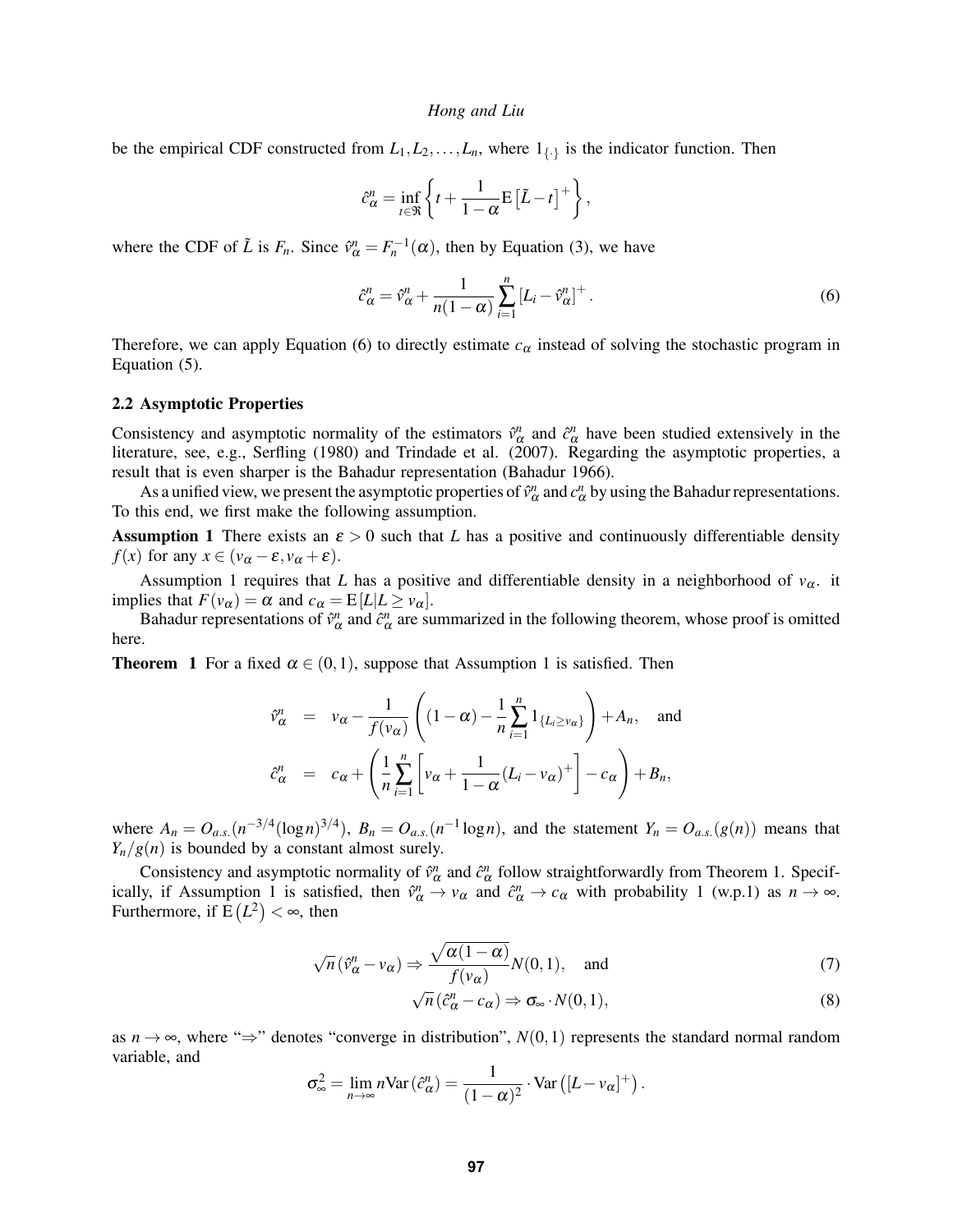be the empirical CDF constructed from  $L_1, L_2, \ldots, L_n$ , where  $1_{\{\cdot\}}$  is the indicator function. Then

$$
\hat{c}_{\alpha}^{n} = \inf_{t \in \Re} \left\{ t + \frac{1}{1 - \alpha} \mathbf{E} \left[ \tilde{L} - t \right]^{+} \right\},\
$$

where the CDF of  $\tilde{L}$  is  $F_n$ . Since  $\hat{v}^n_{\alpha} = F_n^{-1}(\alpha)$ , then by Equation (3), we have

$$
\hat{c}_{\alpha}^{n} = \hat{v}_{\alpha}^{n} + \frac{1}{n(1-\alpha)} \sum_{i=1}^{n} \left[ L_{i} - \hat{v}_{\alpha}^{n} \right]^{+}.
$$
\n
$$
(6)
$$

Therefore, we can apply Equation (6) to directly estimate  $c_{\alpha}$  instead of solving the stochastic program in Equation (5).

#### 2.2 Asymptotic Properties

Consistency and asymptotic normality of the estimators  $\hat{v}^n_\alpha$  and  $\hat{c}^n_\alpha$  have been studied extensively in the literature, see, e.g., Serfling (1980) and Trindade et al. (2007). Regarding the asymptotic properties, a result that is even sharper is the Bahadur representation (Bahadur 1966).

As a unified view, we present the asymptotic properties of  $\hat{v}^n_\alpha$  and  $c^n_\alpha$  by using the Bahadur representations. To this end, we first make the following assumption.

**Assumption 1** There exists an  $\varepsilon > 0$  such that *L* has a positive and continuously differentiable density *f*(*x*) for any  $x \in (v_\alpha - \varepsilon, v_\alpha + \varepsilon)$ .

Assumption 1 requires that *L* has a positive and differentiable density in a neighborhood of  $v_\alpha$ . it implies that  $F(v_\alpha) = \alpha$  and  $c_\alpha = E[L|L \ge v_\alpha]$ .

Bahadur representations of  $\hat{v}^n_\alpha$  and  $\hat{c}^n_\alpha$  are summarized in the following theorem, whose proof is omitted here.

**Theorem 1** For a fixed  $\alpha \in (0,1)$ , suppose that Assumption 1 is satisfied. Then

$$
\hat{v}^n_{\alpha} = v_{\alpha} - \frac{1}{f(v_{\alpha})} \left( (1 - \alpha) - \frac{1}{n} \sum_{i=1}^n 1_{\{L_i \ge v_{\alpha}\}} \right) + A_n, \text{ and}
$$
  

$$
\hat{c}^n_{\alpha} = c_{\alpha} + \left( \frac{1}{n} \sum_{i=1}^n \left[ v_{\alpha} + \frac{1}{1 - \alpha} (L_i - v_{\alpha})^+ \right] - c_{\alpha} \right) + B_n,
$$

where  $A_n = O_{a.s.}(n^{-3/4}(\log n)^{3/4})$ ,  $B_n = O_{a.s.}(n^{-1}\log n)$ , and the statement  $Y_n = O_{a.s.}(g(n))$  means that  $Y_n/g(n)$  is bounded by a constant almost surely.

Consistency and asymptotic normality of  $\hat{v}^n_\alpha$  and  $\hat{c}^n_\alpha$  follow straightforwardly from Theorem 1. Specifically, if Assumption 1 is satisfied, then  $\hat{v}^n_\alpha \to v_\alpha$  and  $\hat{c}^n_\alpha \to c_\alpha$  with probability 1 (w.p.1) as  $n \to \infty$ . Furthermore, if  $E(L^2) < \infty$ , then

$$
\sqrt{n}(\hat{v}^n_{\alpha} - v_{\alpha}) \Rightarrow \frac{\sqrt{\alpha(1-\alpha)}}{f(v_{\alpha})}N(0,1), \text{ and}
$$
\n(7)

$$
\sqrt{n} \left( \hat{c}_{\alpha}^{n} - c_{\alpha} \right) \Rightarrow \sigma_{\infty} \cdot N(0, 1), \tag{8}
$$

as  $n \to \infty$ , where " $\Rightarrow$ " denotes "converge in distribution",  $N(0,1)$  represents the standard normal random variable, and

$$
\sigma_{\infty}^2 = \lim_{n \to \infty} n \text{Var}(\hat{c}_{\alpha}^n) = \frac{1}{(1 - \alpha)^2} \cdot \text{Var}([L - \nu_{\alpha}]^+).
$$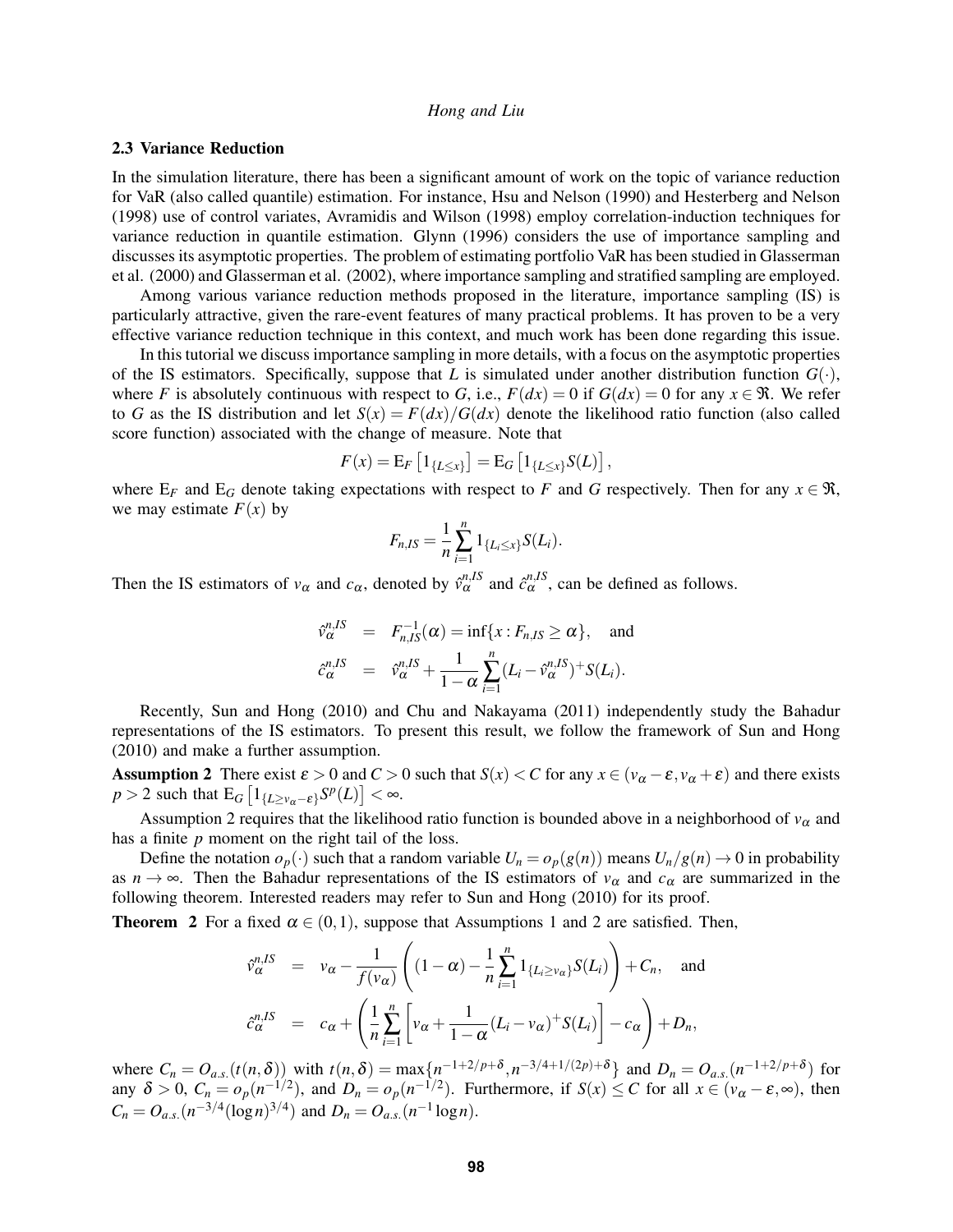#### 2.3 Variance Reduction

In the simulation literature, there has been a significant amount of work on the topic of variance reduction for VaR (also called quantile) estimation. For instance, Hsu and Nelson (1990) and Hesterberg and Nelson (1998) use of control variates, Avramidis and Wilson (1998) employ correlation-induction techniques for variance reduction in quantile estimation. Glynn (1996) considers the use of importance sampling and discusses its asymptotic properties. The problem of estimating portfolio VaR has been studied in Glasserman et al. (2000) and Glasserman et al. (2002), where importance sampling and stratified sampling are employed.

Among various variance reduction methods proposed in the literature, importance sampling (IS) is particularly attractive, given the rare-event features of many practical problems. It has proven to be a very effective variance reduction technique in this context, and much work has been done regarding this issue.

In this tutorial we discuss importance sampling in more details, with a focus on the asymptotic properties of the IS estimators. Specifically, suppose that *L* is simulated under another distribution function  $G(\cdot)$ , where *F* is absolutely continuous with respect to *G*, i.e.,  $F(dx) = 0$  if  $G(dx) = 0$  for any  $x \in \mathcal{R}$ . We refer to *G* as the IS distribution and let  $S(x) = F(dx)/G(dx)$  denote the likelihood ratio function (also called score function) associated with the change of measure. Note that

$$
F(x) = E_F [1_{\{L \le x\}}] = E_G [1_{\{L \le x\}} S(L)],
$$

where  $E_F$  and  $E_G$  denote taking expectations with respect to *F* and *G* respectively. Then for any  $x \in \Re$ , we may estimate  $F(x)$  by

$$
F_{n,IS} = \frac{1}{n} \sum_{i=1}^{n} 1_{\{L_i \leq x\}} S(L_i).
$$

Then the IS estimators of  $v_\alpha$  and  $c_\alpha$ , denoted by  $\hat{v}_\alpha^{n,IS}$  and  $\hat{c}_\alpha^{n,IS}$ , can be defined as follows.

$$
\hat{\nu}_{\alpha}^{n,IS} = F_{n,IS}^{-1}(\alpha) = \inf\{x : F_{n,IS} \ge \alpha\}, \text{ and}
$$
  

$$
\hat{c}_{\alpha}^{n,IS} = \hat{\nu}_{\alpha}^{n,IS} + \frac{1}{1 - \alpha} \sum_{i=1}^{n} (L_i - \hat{\nu}_{\alpha}^{n,IS})^+ S(L_i).
$$

Recently, Sun and Hong (2010) and Chu and Nakayama (2011) independently study the Bahadur representations of the IS estimators. To present this result, we follow the framework of Sun and Hong (2010) and make a further assumption.

Assumption 2 There exist  $\varepsilon > 0$  and  $C > 0$  such that  $S(x) < C$  for any  $x \in (v_\alpha - \varepsilon, v_\alpha + \varepsilon)$  and there exists  $p > 2$  such that  $\mathbb{E}_G \left[ 1_{\{L \ge v_\alpha - \varepsilon\}} S^p(L) \right] < \infty$ .

Assumption 2 requires that the likelihood ratio function is bounded above in a neighborhood of  $v_\alpha$  and has a finite *p* moment on the right tail of the loss.

Define the notation  $o_p(\cdot)$  such that a random variable  $U_n = o_p(g(n))$  means  $U_n/g(n) \to 0$  in probability as  $n \to \infty$ . Then the Bahadur representations of the IS estimators of  $v_\alpha$  and  $c_\alpha$  are summarized in the following theorem. Interested readers may refer to Sun and Hong (2010) for its proof.

**Theorem 2** For a fixed  $\alpha \in (0,1)$ , suppose that Assumptions 1 and 2 are satisfied. Then,

$$
\hat{v}_{\alpha}^{n,IS} = v_{\alpha} - \frac{1}{f(v_{\alpha})} \left( (1 - \alpha) - \frac{1}{n} \sum_{i=1}^{n} 1_{\{L_i \ge v_{\alpha}\}} S(L_i) \right) + C_n, \text{ and}
$$
\n
$$
\hat{c}_{\alpha}^{n,IS} = c_{\alpha} + \left( \frac{1}{n} \sum_{i=1}^{n} \left[ v_{\alpha} + \frac{1}{1 - \alpha} (L_i - v_{\alpha}) + S(L_i) \right] - c_{\alpha} \right) + D_n,
$$

where  $C_n = O_{a.s.}(t(n,\delta))$  with  $t(n,\delta) = \max\{n^{-1+2/p+\delta}, n^{-3/4+1/(2p)+\delta}\}\$  and  $D_n = O_{a.s.}(n^{-1+2/p+\delta})$  for any  $\delta > 0$ ,  $C_n = o_p(n^{-1/2})$ , and  $D_n = o_p(n^{-1/2})$ . Furthermore, if  $S(x) \leq C$  for all  $x \in (v_\alpha - \varepsilon, \infty)$ , then  $C_n = O_{a.s.}(n^{-3/4}(\log n)^{3/4})$  and  $D_n = O_{a.s.}(n^{-1}\log n)$ .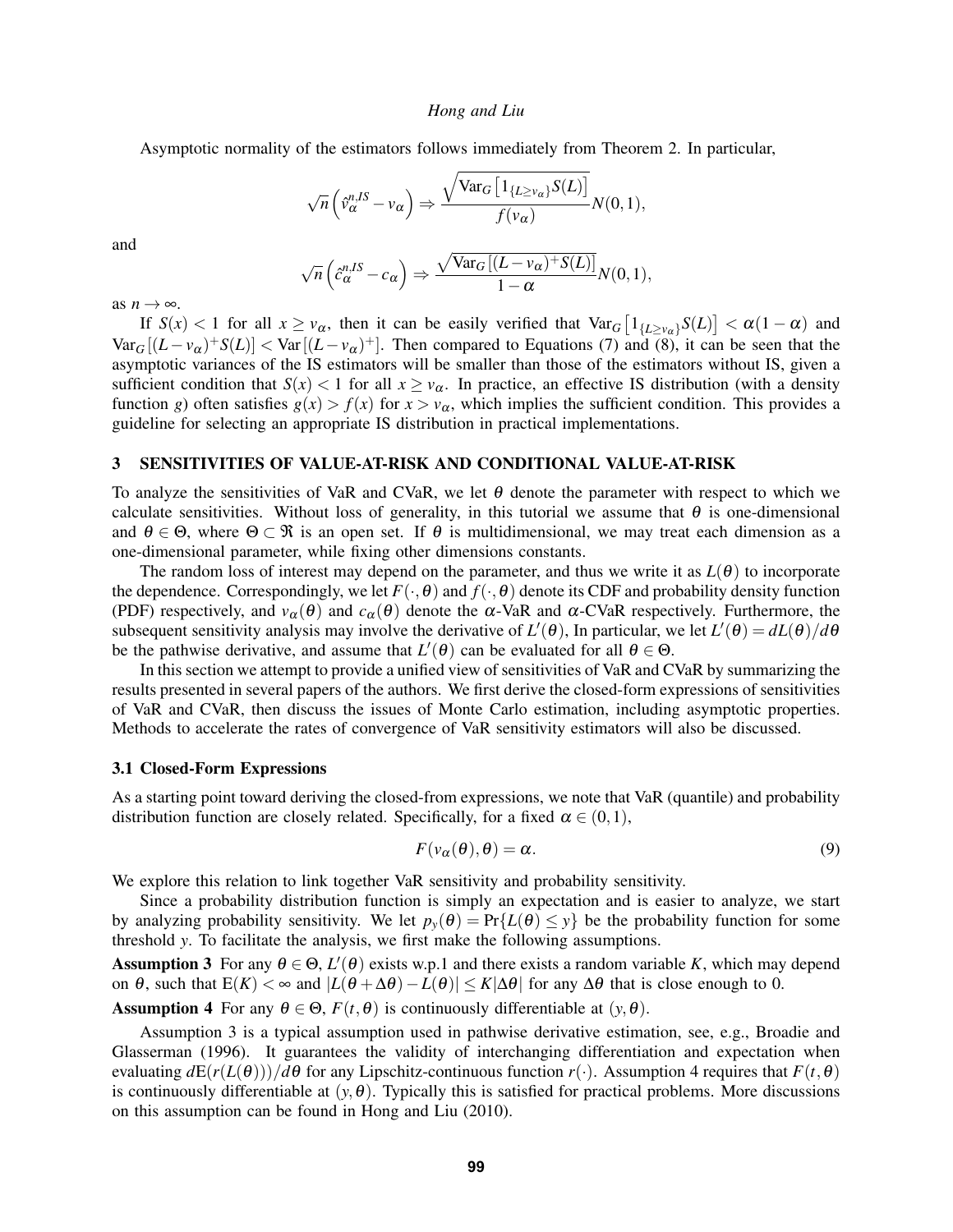Asymptotic normality of the estimators follows immediately from Theorem 2. In particular,

$$
\sqrt{n}\left(\hat{v}_{\alpha}^{n,IS}-v_{\alpha}\right) \Rightarrow \frac{\sqrt{\text{Var}_G\left[1_{\{L\geq v_{\alpha}\}}S(L)\right]}}{f(v_{\alpha})}N(0,1),
$$

and

$$
\sqrt{n}\left(\hat{c}_{\alpha}^{n,IS}-c_{\alpha}\right) \Rightarrow \frac{\sqrt{\text{Var}_G\left[ (L-\nu_{\alpha})+S(L) \right]}}{1-\alpha}N(0,1),
$$

as  $n \to \infty$ .

If  $S(x) < 1$  for all  $x \ge v_\alpha$ , then it can be easily verified that  $Var_G\left[1_{\{L\ge v_\alpha\}}S(L)\right] < \alpha(1-\alpha)$  and  $Var_G[(L - v_\alpha)^+S(L)] < Var[(L - v_\alpha)^+]$ . Then compared to Equations (7) and (8), it can be seen that the asymptotic variances of the IS estimators will be smaller than those of the estimators without IS, given a sufficient condition that  $S(x) < 1$  for all  $x \ge v_\alpha$ . In practice, an effective IS distribution (with a density function *g*) often satisfies  $g(x) > f(x)$  for  $x > v_\alpha$ , which implies the sufficient condition. This provides a guideline for selecting an appropriate IS distribution in practical implementations.

#### 3 SENSITIVITIES OF VALUE-AT-RISK AND CONDITIONAL VALUE-AT-RISK

To analyze the sensitivities of VaR and CVaR, we let  $\theta$  denote the parameter with respect to which we calculate sensitivities. Without loss of generality, in this tutorial we assume that  $\theta$  is one-dimensional and  $\theta \in \Theta$ , where  $\Theta \subset \mathcal{R}$  is an open set. If  $\theta$  is multidimensional, we may treat each dimension as a one-dimensional parameter, while fixing other dimensions constants.

The random loss of interest may depend on the parameter, and thus we write it as  $L(\theta)$  to incorporate the dependence. Correspondingly, we let  $F(\cdot, \theta)$  and  $f(\cdot, \theta)$  denote its CDF and probability density function (PDF) respectively, and  $v_\alpha(\theta)$  and  $c_\alpha(\theta)$  denote the  $\alpha$ -VaR and  $\alpha$ -CVaR respectively. Furthermore, the subsequent sensitivity analysis may involve the derivative of  $L'(\theta)$ , In particular, we let  $L'(\theta) = dL(\theta)/d\theta$ be the pathwise derivative, and assume that  $L'(\theta)$  can be evaluated for all  $\theta \in \Theta$ .

In this section we attempt to provide a unified view of sensitivities of VaR and CVaR by summarizing the results presented in several papers of the authors. We first derive the closed-form expressions of sensitivities of VaR and CVaR, then discuss the issues of Monte Carlo estimation, including asymptotic properties. Methods to accelerate the rates of convergence of VaR sensitivity estimators will also be discussed.

#### 3.1 Closed-Form Expressions

As a starting point toward deriving the closed-from expressions, we note that VaR (quantile) and probability distribution function are closely related. Specifically, for a fixed  $\alpha \in (0,1)$ ,

$$
F(\nu_{\alpha}(\theta), \theta) = \alpha.
$$
 (9)

We explore this relation to link together VaR sensitivity and probability sensitivity.

Since a probability distribution function is simply an expectation and is easier to analyze, we start by analyzing probability sensitivity. We let  $p_y(\theta) = Pr\{L(\theta) \le y\}$  be the probability function for some threshold *y*. To facilitate the analysis, we first make the following assumptions.

Assumption 3 For any  $\theta \in \Theta$ ,  $L'(\theta)$  exists w.p.1 and there exists a random variable *K*, which may depend on  $\theta$ , such that  $E(K) < \infty$  and  $|L(\theta + \Delta \theta) - L(\theta)| \le K|\Delta \theta|$  for any  $\Delta \theta$  that is close enough to 0.

**Assumption 4** For any  $\theta \in \Theta$ ,  $F(t, \theta)$  is continuously differentiable at  $(y, \theta)$ .

Assumption 3 is a typical assumption used in pathwise derivative estimation, see, e.g., Broadie and Glasserman (1996). It guarantees the validity of interchanging differentiation and expectation when evaluating  $dE(r(L(\theta)))/d\theta$  for any Lipschitz-continuous function  $r(\cdot)$ . Assumption 4 requires that  $F(t,\theta)$ is continuously differentiable at  $(y, \theta)$ . Typically this is satisfied for practical problems. More discussions on this assumption can be found in Hong and Liu (2010).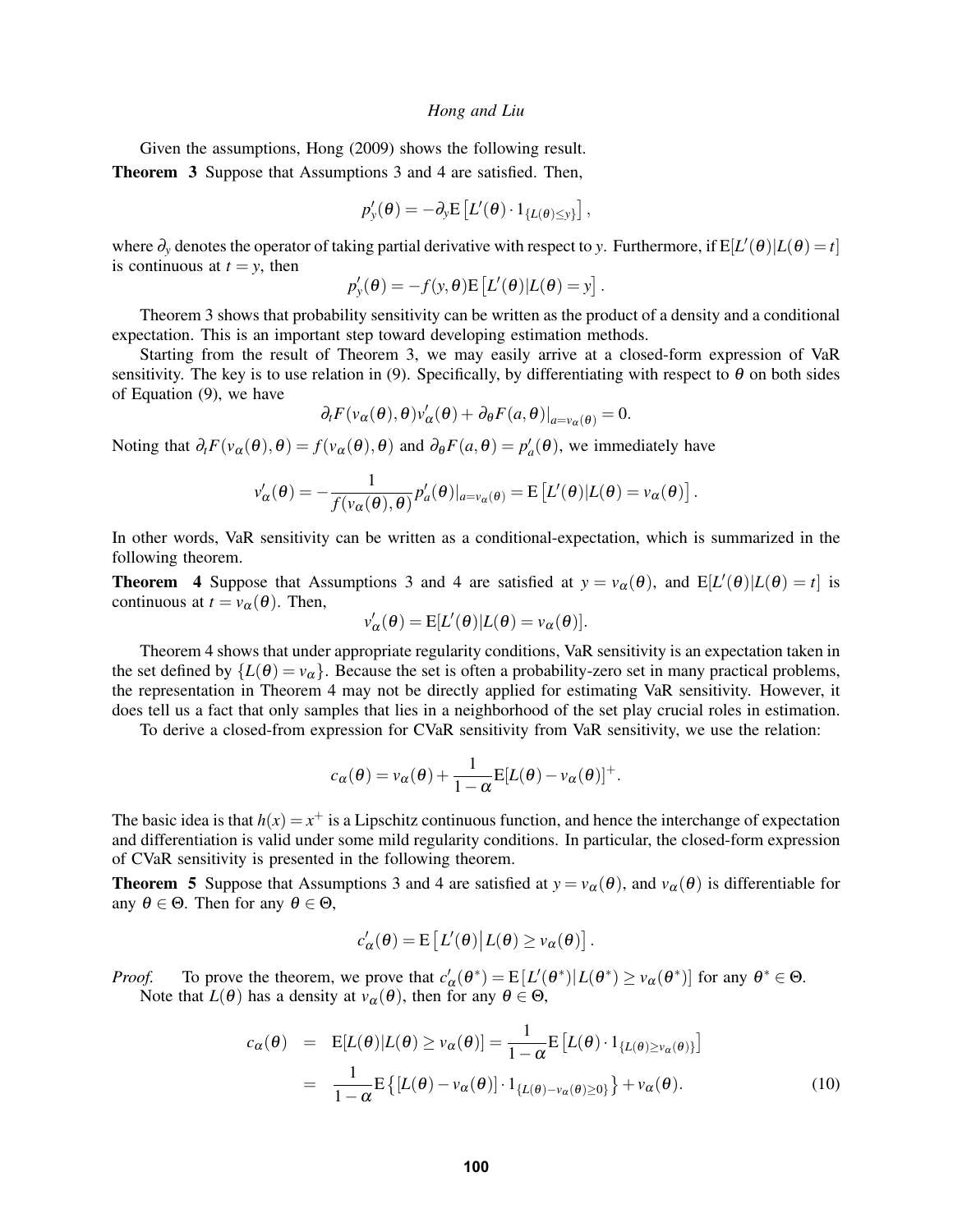Given the assumptions, Hong (2009) shows the following result.

Theorem 3 Suppose that Assumptions 3 and 4 are satisfied. Then,

$$
p'_{y}(\boldsymbol{\theta}) = -\partial_{y} \mathbf{E}\left[L'(\boldsymbol{\theta}) \cdot 1_{\{L(\boldsymbol{\theta}) \leq y\}}\right],
$$

where  $\partial_y$  denotes the operator of taking partial derivative with respect to *y*. Furthermore, if  $E[L'(\theta)|L(\theta) = t]$ is continuous at  $t = y$ , then

$$
p'_{y}(\theta) = -f(y, \theta) \mathbb{E}\left[L'(\theta)|L(\theta) = y\right].
$$

Theorem 3 shows that probability sensitivity can be written as the product of a density and a conditional expectation. This is an important step toward developing estimation methods.

Starting from the result of Theorem 3, we may easily arrive at a closed-form expression of VaR sensitivity. The key is to use relation in (9). Specifically, by differentiating with respect to  $\theta$  on both sides of Equation (9), we have

$$
\partial_t F(v_\alpha(\theta),\theta)v'_\alpha(\theta) + \partial_\theta F(a,\theta)|_{a=v_\alpha(\theta)} = 0.
$$

Noting that  $\partial_t F(v_\alpha(\theta), \theta) = f(v_\alpha(\theta), \theta)$  and  $\partial_\theta F(a, \theta) = p'_a(\theta)$ , we immediately have

$$
v'_{\alpha}(\theta) = -\frac{1}{f(v_{\alpha}(\theta), \theta)} p'_{a}(\theta)|_{a=v_{\alpha}(\theta)} = E\left[L'(\theta)|L(\theta) = v_{\alpha}(\theta)\right].
$$

In other words, VaR sensitivity can be written as a conditional-expectation, which is summarized in the following theorem.

**Theorem 4** Suppose that Assumptions 3 and 4 are satisfied at  $y = v_\alpha(\theta)$ , and  $E[L'(\theta)|L(\theta) = t]$  is continuous at  $t = v_\alpha(\theta)$ . Then,

$$
v'_{\alpha}(\theta) = \mathbb{E}[L'(\theta)|L(\theta) = v_{\alpha}(\theta)].
$$

Theorem 4 shows that under appropriate regularity conditions, VaR sensitivity is an expectation taken in the set defined by  $\{L(\theta) = v_\alpha\}$ . Because the set is often a probability-zero set in many practical problems, the representation in Theorem 4 may not be directly applied for estimating VaR sensitivity. However, it does tell us a fact that only samples that lies in a neighborhood of the set play crucial roles in estimation.

To derive a closed-from expression for CVaR sensitivity from VaR sensitivity, we use the relation:

$$
c_{\alpha}(\theta) = v_{\alpha}(\theta) + \frac{1}{1 - \alpha} \mathbb{E}[L(\theta) - v_{\alpha}(\theta)]^{+}.
$$

The basic idea is that  $h(x) = x^+$  is a Lipschitz continuous function, and hence the interchange of expectation and differentiation is valid under some mild regularity conditions. In particular, the closed-form expression of CVaR sensitivity is presented in the following theorem.

**Theorem 5** Suppose that Assumptions 3 and 4 are satisfied at  $y = v_\alpha(\theta)$ , and  $v_\alpha(\theta)$  is differentiable for any  $\theta \in \Theta$ . Then for any  $\theta \in \Theta$ ,

$$
c'_{\alpha}(\theta) = \mathbb{E}\left[L'(\theta)|L(\theta) \geq v_{\alpha}(\theta)\right].
$$

*Proof.* To prove the theorem, we prove that  $c'_{\alpha}(\theta^*) = E[L'(\theta^*) | L(\theta^*) \ge v_{\alpha}(\theta^*)]$  for any  $\theta^* \in \Theta$ . Note that  $L(\theta)$  has a density at  $v_\alpha(\theta)$ , then for any  $\theta \in \Theta$ ,

$$
c_{\alpha}(\theta) = \mathbb{E}[L(\theta)|L(\theta) \ge v_{\alpha}(\theta)] = \frac{1}{1-\alpha} \mathbb{E}[L(\theta) \cdot 1_{\{L(\theta) \ge v_{\alpha}(\theta)\}}]
$$

$$
= \frac{1}{1-\alpha} \mathbb{E}\left\{ [L(\theta) - v_{\alpha}(\theta)] \cdot 1_{\{L(\theta) - v_{\alpha}(\theta) \ge 0\}} \right\} + v_{\alpha}(\theta). \tag{10}
$$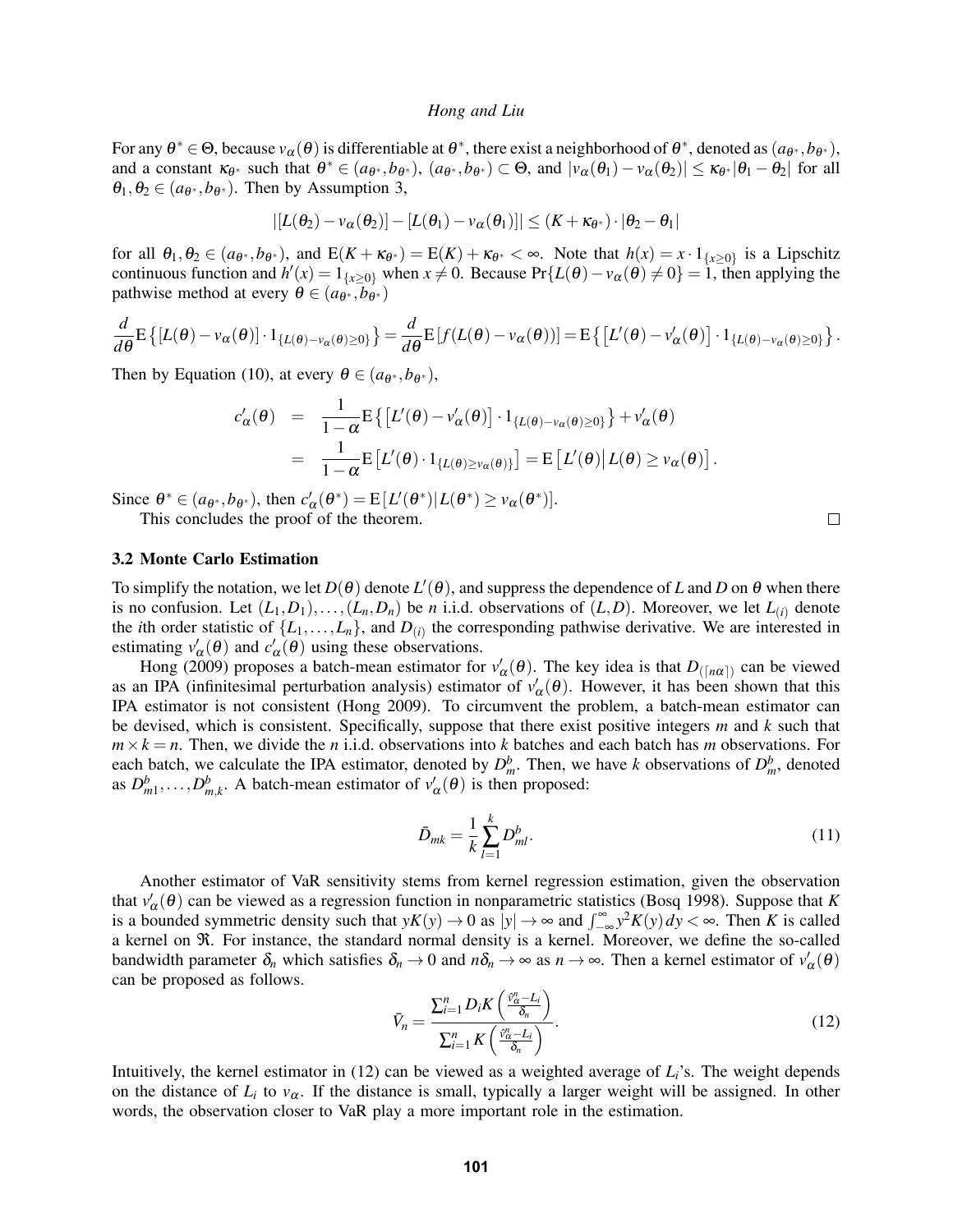For any  $\theta^* \in \Theta$ , because  $v_\alpha(\theta)$  is differentiable at  $\theta^*$ , there exist a neighborhood of  $\theta^*$ , denoted as  $(a_{\theta^*}, b_{\theta^*})$ , and a constant  $\kappa_{\theta^*}$  such that  $\theta^* \in (a_{\theta^*}, b_{\theta^*})$ ,  $(a_{\theta^*}, b_{\theta^*}) \subset \Theta$ , and  $|v_\alpha(\theta_1) - v_\alpha(\theta_2)| \leq \kappa_{\theta^*} |\theta_1 - \theta_2|$  for all  $\theta_1, \theta_2 \in (a_{\theta^*}, b_{\theta^*})$ . Then by Assumption 3,

$$
|[L(\theta_2)-v_{\alpha}(\theta_2)]-[L(\theta_1)-v_{\alpha}(\theta_1)]|\leq (K+\kappa_{\theta^*})\cdot |\theta_2-\theta_1|
$$

for all  $\theta_1, \theta_2 \in (a_{\theta^*}, b_{\theta^*})$ , and  $E(K + \kappa_{\theta^*}) = E(K) + \kappa_{\theta^*} < \infty$ . Note that  $h(x) = x \cdot 1_{\{x \ge 0\}}$  is a Lipschitz continuous function and  $h'(x) = 1_{\{x \ge 0\}}$  when  $x \ne 0$ . Because Pr $\{L(\theta) - v_\alpha(\theta) \ne 0\} = 1$ , then applying the pathwise method at every  $\theta \in (a_{\theta^*}, b_{\theta^*})$ 

$$
\frac{d}{d\theta} \mathbb{E}\left\{[L(\theta) - v_{\alpha}(\theta)] \cdot 1_{\{L(\theta) - v_{\alpha}(\theta) \ge 0\}}\right\} = \frac{d}{d\theta} \mathbb{E}\left[f(L(\theta) - v_{\alpha}(\theta))\right] = \mathbb{E}\left\{[L'(\theta) - v'_{\alpha}(\theta)] \cdot 1_{\{L(\theta) - v_{\alpha}(\theta) \ge 0\}}\right\}.
$$

Then by Equation (10), at every  $\theta \in (a_{\theta^*}, b_{\theta^*})$ ,

$$
c'_{\alpha}(\theta) = \frac{1}{1-\alpha} \mathbb{E} \left\{ \left[ L'(\theta) - v'_{\alpha}(\theta) \right] \cdot 1_{\{L(\theta) - v_{\alpha}(\theta) \ge 0\}} \right\} + v'_{\alpha}(\theta)
$$
  
= 
$$
\frac{1}{1-\alpha} \mathbb{E} \left[ L'(\theta) \cdot 1_{\{L(\theta) \ge v_{\alpha}(\theta)\}} \right] = \mathbb{E} \left[ L'(\theta) \middle| L(\theta) \ge v_{\alpha}(\theta) \right].
$$

Since  $\theta^* \in (a_{\theta^*}, b_{\theta^*})$ , then  $c'_\alpha(\theta^*) = E[L'(\theta^*) | L(\theta^*) \ge v_\alpha(\theta^*)]$ .

This concludes the proof of the theorem.

#### 3.2 Monte Carlo Estimation

To simplify the notation, we let  $D(\theta)$  denote  $L'(\theta)$ , and suppress the dependence of *L* and *D* on  $\theta$  when there is no confusion. Let  $(L_1, D_1), \ldots, (L_n, D_n)$  be *n* i.i.d. observations of  $(L, D)$ . Moreover, we let  $L_{(i)}$  denote the *i*th order statistic of  $\{L_1, \ldots, L_n\}$ , and  $D_{(i)}$  the corresponding pathwise derivative. We are interested in estimating  $v'_\n\alpha(\theta)$  and  $c'_\n\alpha(\theta)$  using these observations.

Hong (2009) proposes a batch-mean estimator for  $v'_\alpha(\theta)$ . The key idea is that  $D_{(\lceil n\alpha \rceil)}$  can be viewed as an IPA (infinitesimal perturbation analysis) estimator of  $v'_\n\alpha(\theta)$ . However, it has been shown that this IPA estimator is not consistent (Hong 2009). To circumvent the problem, a batch-mean estimator can be devised, which is consistent. Specifically, suppose that there exist positive integers *m* and *k* such that  $m \times k = n$ . Then, we divide the *n* i.i.d. observations into *k* batches and each batch has *m* observations. For each batch, we calculate the IPA estimator, denoted by  $D_m^b$ . Then, we have *k* observations of  $D_m^b$ , denoted as  $D_{m1}^b$ ,..., $D_{m,k}^b$ . A batch-mean estimator of  $v'_\alpha(\theta)$  is then proposed:

$$
\bar{D}_{mk} = \frac{1}{k} \sum_{l=1}^{k} D_{ml}^{b}.
$$
\n(11)

Another estimator of VaR sensitivity stems from kernel regression estimation, given the observation that  $v'_\n\alpha(\theta)$  can be viewed as a regression function in nonparametric statistics (Bosq 1998). Suppose that *K* is a bounded symmetric density such that  $yK(y) \to 0$  as  $|y| \to \infty$  and  $\int_{-\infty}^{\infty} y^2 K(y) dy < \infty$ . Then *K* is called a kernel on  $\Re$ . For instance, the standard normal density is a kernel. Moreover, we define the so-called bandwidth parameter  $\delta_n$  which satisfies  $\delta_n \to 0$  and  $n\delta_n \to \infty$  as  $n \to \infty$ . Then a kernel estimator of  $v'_\alpha(\theta)$ can be proposed as follows.

$$
\bar{V}_n = \frac{\sum_{i=1}^n D_i K\left(\frac{\hat{V}_\alpha - L_i}{\delta_n}\right)}{\sum_{i=1}^n K\left(\frac{\hat{V}_\alpha - L_i}{\delta_n}\right)}.
$$
\n(12)

Intuitively, the kernel estimator in  $(12)$  can be viewed as a weighted average of  $L_i$ 's. The weight depends on the distance of  $L_i$  to  $v_\alpha$ . If the distance is small, typically a larger weight will be assigned. In other words, the observation closer to VaR play a more important role in the estimation.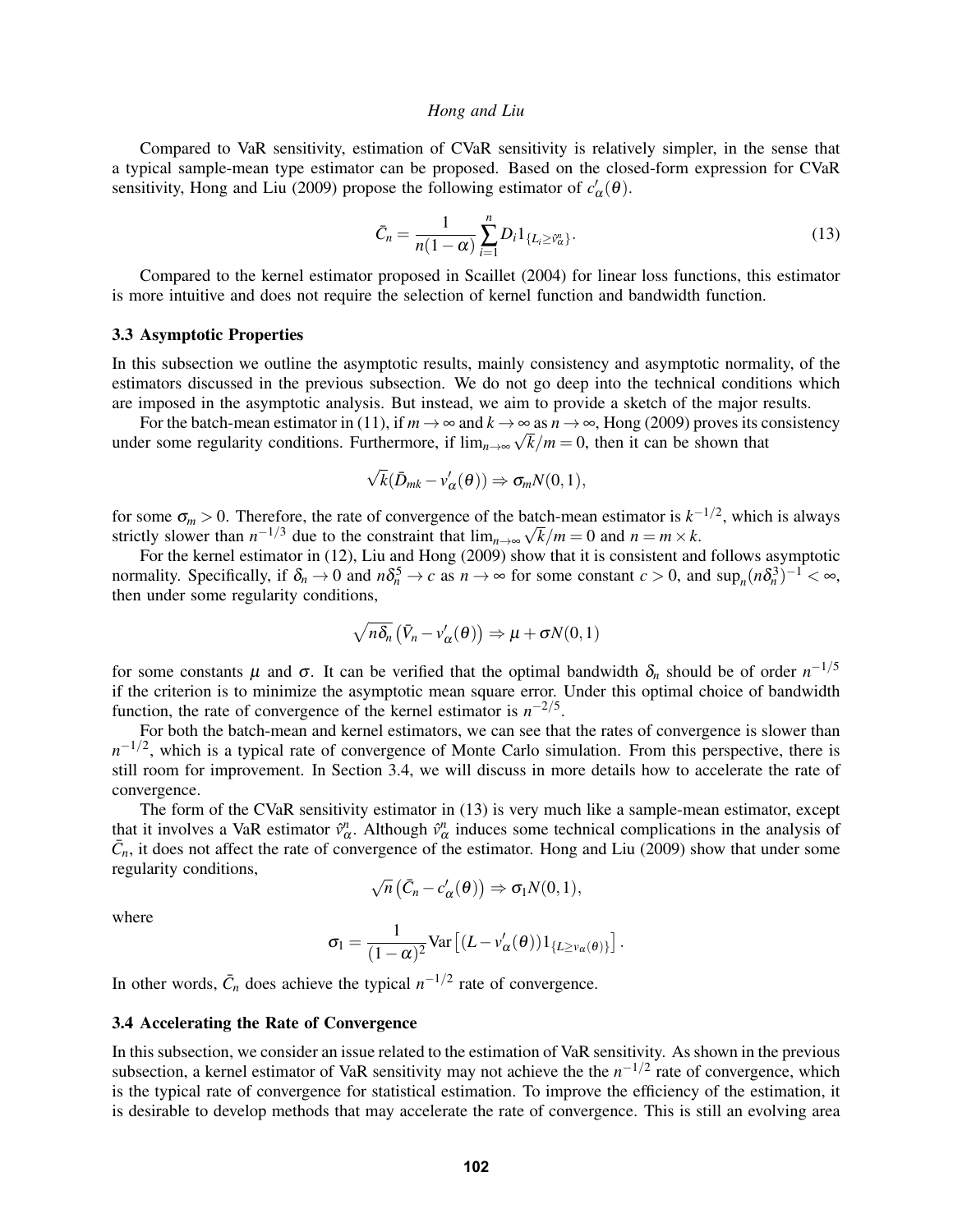Compared to VaR sensitivity, estimation of CVaR sensitivity is relatively simpler, in the sense that a typical sample-mean type estimator can be proposed. Based on the closed-form expression for CVaR sensitivity, Hong and Liu (2009) propose the following estimator of  $c'_{\alpha}(\theta)$ .

$$
\bar{C}_n = \frac{1}{n(1-\alpha)} \sum_{i=1}^n D_i 1_{\{L_i \ge \hat{v}_\alpha^n\}}.
$$
\n(13)

Compared to the kernel estimator proposed in Scaillet (2004) for linear loss functions, this estimator is more intuitive and does not require the selection of kernel function and bandwidth function.

#### 3.3 Asymptotic Properties

In this subsection we outline the asymptotic results, mainly consistency and asymptotic normality, of the estimators discussed in the previous subsection. We do not go deep into the technical conditions which are imposed in the asymptotic analysis. But instead, we aim to provide a sketch of the major results.

For the batch-mean estimator in (11), if  $m \to \infty$  and  $k \to \infty$  as  $n \to \infty$ , Hong (2009) proves its consistency under some regularity conditions. Furthermore, if  $\lim_{n\to\infty} \sqrt{k/m} = 0$ , then it can be shown that

$$
\sqrt{k}(\bar{D}_{mk}-v'_{\alpha}(\theta))\Rightarrow \sigma_m N(0,1),
$$

for some  $\sigma_m > 0$ . Therefore, the rate of convergence of the batch-mean estimator is  $k^{-1/2}$ , which is always for some  $\sigma_m > 0$ . Therefore, the rate of convergence of the bat strictly slower than  $n^{-1/3}$  due to the constraint that  $\lim_{n\to\infty}\sqrt{n}$  $k/m = 0$  and  $n = m \times k$ .

For the kernel estimator in (12), Liu and Hong (2009) show that it is consistent and follows asymptotic normality. Specifically, if  $\delta_n \to 0$  and  $n\delta_n^5 \to c$  as  $n \to \infty$  for some constant  $c > 0$ , and  $\sup_n (n\delta_n^3)^{-1} < \infty$ , then under some regularity conditions,

$$
\sqrt{n\delta_n}(\bar{V}_n - v'_\alpha(\theta)) \Rightarrow \mu + \sigma N(0,1)
$$

for some constants  $\mu$  and  $\sigma$ . It can be verified that the optimal bandwidth  $\delta_n$  should be of order  $n^{-1/5}$ if the criterion is to minimize the asymptotic mean square error. Under this optimal choice of bandwidth function, the rate of convergence of the kernel estimator is  $n^{-2/5}$ .

For both the batch-mean and kernel estimators, we can see that the rates of convergence is slower than *n*<sup>-1/2</sup>, which is a typical rate of convergence of Monte Carlo simulation. From this perspective, there is still room for improvement. In Section 3.4, we will discuss in more details how to accelerate the rate of convergence.

The form of the CVaR sensitivity estimator in (13) is very much like a sample-mean estimator, except that it involves a VaR estimator  $\hat{v}^n_\alpha$ . Although  $\hat{v}^n_\alpha$  induces some technical complications in the analysis of  $\bar{C}_n$ , it does not affect the rate of convergence of the estimator. Hong and Liu (2009) show that under some regularity conditions, √

$$
\sqrt{n}\left(\bar{C}_n - c'_{\alpha}(\theta)\right) \Rightarrow \sigma_1 N(0,1),
$$

where

$$
\sigma_1 = \frac{1}{(1-\alpha)^2} \text{Var}\left[ (L - v'_{\alpha}(\boldsymbol{\theta})) 1_{\{L \ge v_{\alpha}(\boldsymbol{\theta})\}} \right].
$$

In other words,  $\bar{C}_n$  does achieve the typical  $n^{-1/2}$  rate of convergence.

#### 3.4 Accelerating the Rate of Convergence

In this subsection, we consider an issue related to the estimation of VaR sensitivity. As shown in the previous subsection, a kernel estimator of VaR sensitivity may not achieve the the  $n^{-1/2}$  rate of convergence, which is the typical rate of convergence for statistical estimation. To improve the efficiency of the estimation, it is desirable to develop methods that may accelerate the rate of convergence. This is still an evolving area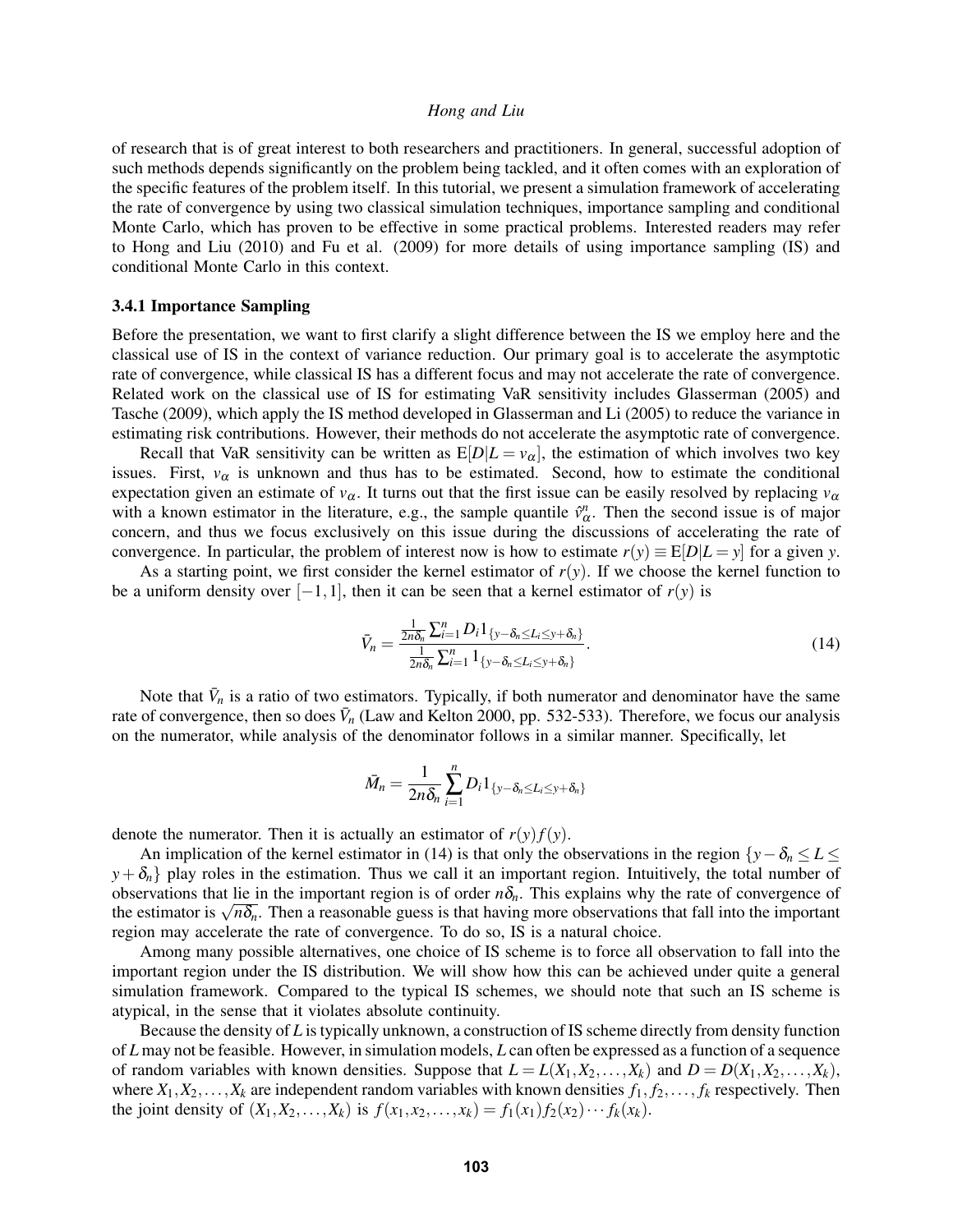of research that is of great interest to both researchers and practitioners. In general, successful adoption of such methods depends significantly on the problem being tackled, and it often comes with an exploration of the specific features of the problem itself. In this tutorial, we present a simulation framework of accelerating the rate of convergence by using two classical simulation techniques, importance sampling and conditional Monte Carlo, which has proven to be effective in some practical problems. Interested readers may refer to Hong and Liu (2010) and Fu et al. (2009) for more details of using importance sampling (IS) and conditional Monte Carlo in this context.

#### 3.4.1 Importance Sampling

Before the presentation, we want to first clarify a slight difference between the IS we employ here and the classical use of IS in the context of variance reduction. Our primary goal is to accelerate the asymptotic rate of convergence, while classical IS has a different focus and may not accelerate the rate of convergence. Related work on the classical use of IS for estimating VaR sensitivity includes Glasserman (2005) and Tasche (2009), which apply the IS method developed in Glasserman and Li (2005) to reduce the variance in estimating risk contributions. However, their methods do not accelerate the asymptotic rate of convergence.

Recall that VaR sensitivity can be written as  $E[D|L = v_\alpha]$ , the estimation of which involves two key issues. First,  $v_\alpha$  is unknown and thus has to be estimated. Second, how to estimate the conditional expectation given an estimate of  $v_\alpha$ . It turns out that the first issue can be easily resolved by replacing  $v_\alpha$ with a known estimator in the literature, e.g., the sample quantile  $\hat{v}^n_\alpha$ . Then the second issue is of major concern, and thus we focus exclusively on this issue during the discussions of accelerating the rate of convergence. In particular, the problem of interest now is how to estimate  $r(y) \equiv E[D|L = y]$  for a given *y*.

As a starting point, we first consider the kernel estimator of  $r(y)$ . If we choose the kernel function to be a uniform density over  $[-1,1]$ , then it can be seen that a kernel estimator of  $r(y)$  is

$$
\bar{V}_n = \frac{\frac{1}{2n\delta_n} \sum_{i=1}^n D_i \mathbb{1}_{\{y - \delta_n \le L_i \le y + \delta_n\}}}{\frac{1}{2n\delta_n} \sum_{i=1}^n \mathbb{1}_{\{y - \delta_n \le L_i \le y + \delta_n\}}}.
$$
\n(14)

Note that  $\bar{V}_n$  is a ratio of two estimators. Typically, if both numerator and denominator have the same rate of convergence, then so does  $\bar{V}_n$  (Law and Kelton 2000, pp. 532-533). Therefore, we focus our analysis on the numerator, while analysis of the denominator follows in a similar manner. Specifically, let

$$
\bar{M}_n = \frac{1}{2n\delta_n} \sum_{i=1}^n D_i 1_{\{y-\delta_n \le L_i \le y+\delta_n\}}
$$

denote the numerator. Then it is actually an estimator of  $r(y)f(y)$ .

An implication of the kernel estimator in (14) is that only the observations in the region  $\{y - \delta_n \le L \le \delta_n\}$  $y+\delta_n$  play roles in the estimation. Thus we call it an important region. Intuitively, the total number of observations that lie in the important region is of order  $n\delta_n$ . This explains why the rate of convergence of observations that lie in the important region is or order  $n\sigma_n$ . This explains why the rate or convergence or the estimator is  $\sqrt{n\delta_n}$ . Then a reasonable guess is that having more observations that fall into the import region may accelerate the rate of convergence. To do so, IS is a natural choice.

Among many possible alternatives, one choice of IS scheme is to force all observation to fall into the important region under the IS distribution. We will show how this can be achieved under quite a general simulation framework. Compared to the typical IS schemes, we should note that such an IS scheme is atypical, in the sense that it violates absolute continuity.

Because the density of *L* is typically unknown, a construction of IS scheme directly from density function of *L* may not be feasible. However, in simulation models, *L* can often be expressed as a function of a sequence of random variables with known densities. Suppose that  $L = L(X_1, X_2, \ldots, X_k)$  and  $D = D(X_1, X_2, \ldots, X_k)$ , where  $X_1, X_2, \ldots, X_k$  are independent random variables with known densities  $f_1, f_2, \ldots, f_k$  respectively. Then the joint density of  $(X_1, X_2, ..., X_k)$  is  $f(x_1, x_2, ..., x_k) = f_1(x_1) f_2(x_2) \cdots f_k(x_k)$ .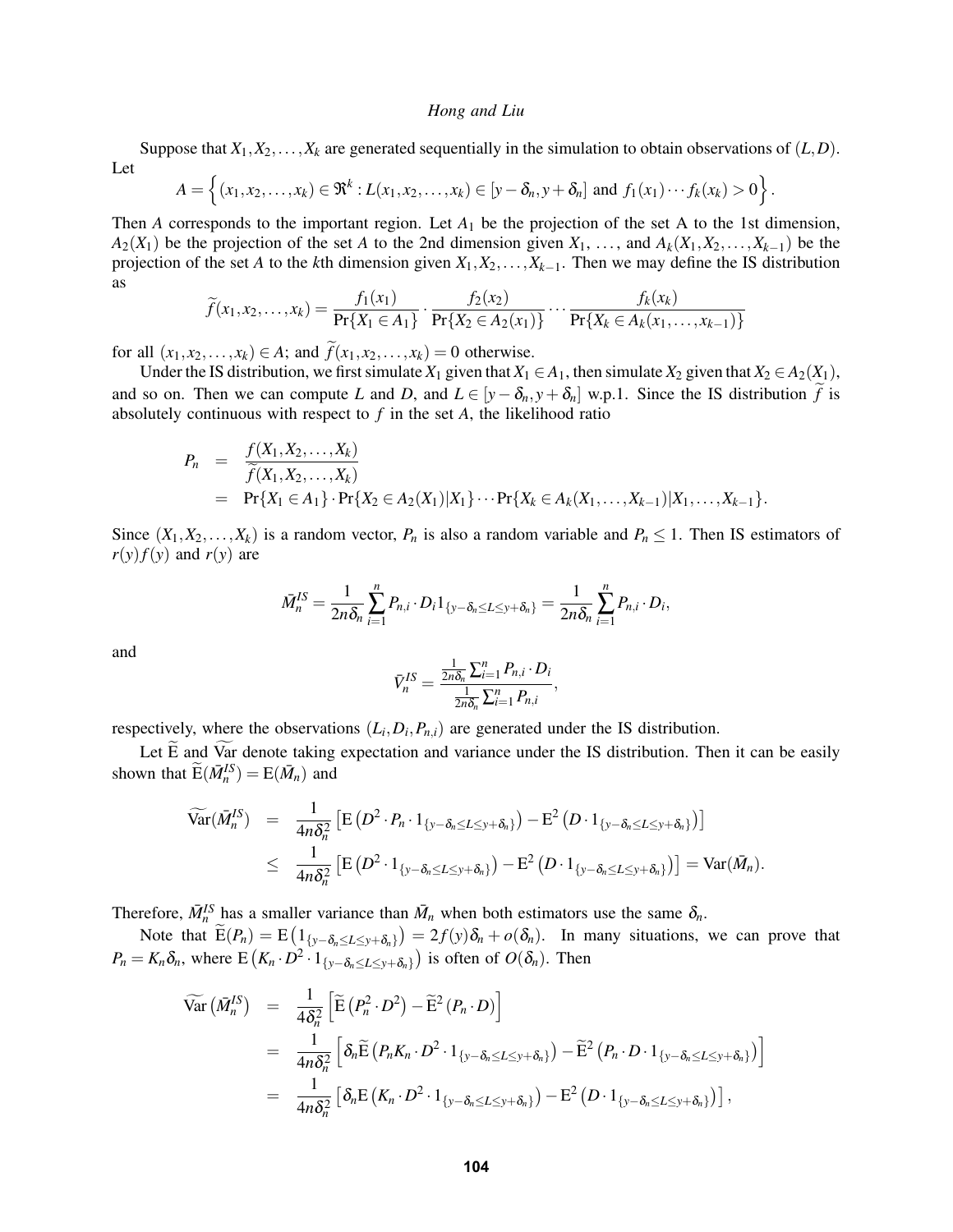Suppose that  $X_1, X_2, \ldots, X_k$  are generated sequentially in the simulation to obtain observations of  $(L, D)$ . Let

$$
A=\left\{(x_1,x_2,\ldots,x_k)\in\Re^k:L(x_1,x_2,\ldots,x_k)\in[y-\delta_n,y+\delta_n]\text{ and }f_1(x_1)\cdots f_k(x_k)>0\right\}.
$$

Then *A* corresponds to the important region. Let  $A_1$  be the projection of the set A to the 1st dimension,  $A_2(X_1)$  be the projection of the set *A* to the 2nd dimension given  $X_1, \ldots,$  and  $A_k(X_1, X_2, \ldots, X_{k-1})$  be the projection of the set *A* to the *k*th dimension given  $X_1, X_2, \ldots, X_{k-1}$ . Then we may define the IS distribution as

$$
\widetilde{f}(x_1, x_2, \dots, x_k) = \frac{f_1(x_1)}{\Pr\{X_1 \in A_1\}} \cdot \frac{f_2(x_2)}{\Pr\{X_2 \in A_2(x_1)\}} \cdots \frac{f_k(x_k)}{\Pr\{X_k \in A_k(x_1, \dots, x_{k-1})\}}
$$

for all  $(x_1, x_2,..., x_k) \in A$ ; and  $\widetilde{f}(x_1, x_2,..., x_k) = 0$  otherwise.

Under the IS distribution, we first simulate  $X_1$  given that  $X_1 \in A_1$ , then simulate  $X_2$  given that  $X_2 \in A_2(X_1)$ , and so on. Then we can compute *L* and *D*, and  $L \in [y - \delta_n, y + \delta_n]$  w.p.1. Since the IS distribution *f* is absolutely continuous with respect to *f* in the set *A*, the likelihood ratio

$$
P_n = \frac{f(X_1, X_2, \dots, X_k)}{\widetilde{f}(X_1, X_2, \dots, X_k)}
$$
  
=  $\Pr\{X_1 \in A_1\} \cdot \Pr\{X_2 \in A_2(X_1) | X_1\} \cdots \Pr\{X_k \in A_k(X_1, \dots, X_{k-1}) | X_1, \dots, X_{k-1}\}.$ 

Since  $(X_1, X_2, \ldots, X_k)$  is a random vector,  $P_n$  is also a random variable and  $P_n \leq 1$ . Then IS estimators of  $r(y)f(y)$  and  $r(y)$  are

$$
\bar{M}_n^{IS} = \frac{1}{2n\delta_n}\sum_{i=1}^n P_{n,i} \cdot D_i 1_{\{y-\delta_n \le L \le y+\delta_n\}} = \frac{1}{2n\delta_n}\sum_{i=1}^n P_{n,i} \cdot D_i,
$$

and

$$
\bar{V}_n^{IS} = \frac{\frac{1}{2n\delta_n}\sum_{i=1}^n P_{n,i} \cdot D_i}{\frac{1}{2n\delta_n}\sum_{i=1}^n P_{n,i}},
$$

respectively, where the observations  $(L_i, D_i, P_{n,i})$  are generated under the IS distribution.

Let  $\overline{E}$  and  $\overline{Var}$  denote taking expectation and variance under the IS distribution. Then it can be easily shown that  $\widetilde{E}(\bar{M}_n^{IS}) = E(\bar{M}_n)$  and

$$
\begin{array}{rcl}\n\widetilde{\text{Var}}(\bar{M}_{n}^{IS}) & = & \frac{1}{4n\delta_{n}^{2}} \left[ \text{E}\left( D^{2} \cdot P_{n} \cdot 1_{\{y-\delta_{n} \le L \le y+\delta_{n}\}} \right) - \text{E}^{2}\left( D \cdot 1_{\{y-\delta_{n} \le L \le y+\delta_{n}\}} \right) \right] \\
& \le & \frac{1}{4n\delta_{n}^{2}} \left[ \text{E}\left( D^{2} \cdot 1_{\{y-\delta_{n} \le L \le y+\delta_{n}\}} \right) - \text{E}^{2}\left( D \cdot 1_{\{y-\delta_{n} \le L \le y+\delta_{n}\}} \right) \right] = \text{Var}(\bar{M}_{n}).\n\end{array}
$$

Therefore,  $\bar{M}_n^{IS}$  has a smaller variance than  $\bar{M}_n$  when both estimators use the same  $\delta_n$ .

Note that  $E(P_n) = E(\mathbf{1}_{\{y-\delta_n \le L \le y+\delta_n\}}) = 2f(y)\delta_n + o(\delta_n)$ . In many situations, we can prove that  $P_n = K_n \delta_n$ , where  $E(K_n \cdot D^2 \cdot 1_{\{y-\delta_n \le L \le y+\delta_n\}})$  is often of  $O(\delta_n)$ . Then

$$
\begin{split}\n\widetilde{\text{Var}}\left(\bar{M}_{n}^{IS}\right) &= \frac{1}{4\delta_{n}^{2}} \left[ \widetilde{\text{E}}\left(P_{n}^{2} \cdot D^{2}\right) - \widetilde{\text{E}}^{2}\left(P_{n} \cdot D\right) \right] \\
&= \frac{1}{4n\delta_{n}^{2}} \left[ \delta_{n} \widetilde{\text{E}}\left(P_{n} K_{n} \cdot D^{2} \cdot 1_{\{y-\delta_{n} \le L \le y+\delta_{n}\}}\right) - \widetilde{\text{E}}^{2}\left(P_{n} \cdot D \cdot 1_{\{y-\delta_{n} \le L \le y+\delta_{n}\}}\right) \right] \\
&= \frac{1}{4n\delta_{n}^{2}} \left[ \delta_{n} \text{E}\left(K_{n} \cdot D^{2} \cdot 1_{\{y-\delta_{n} \le L \le y+\delta_{n}\}}\right) - \text{E}^{2}\left(D \cdot 1_{\{y-\delta_{n} \le L \le y+\delta_{n}\}}\right) \right],\n\end{split}
$$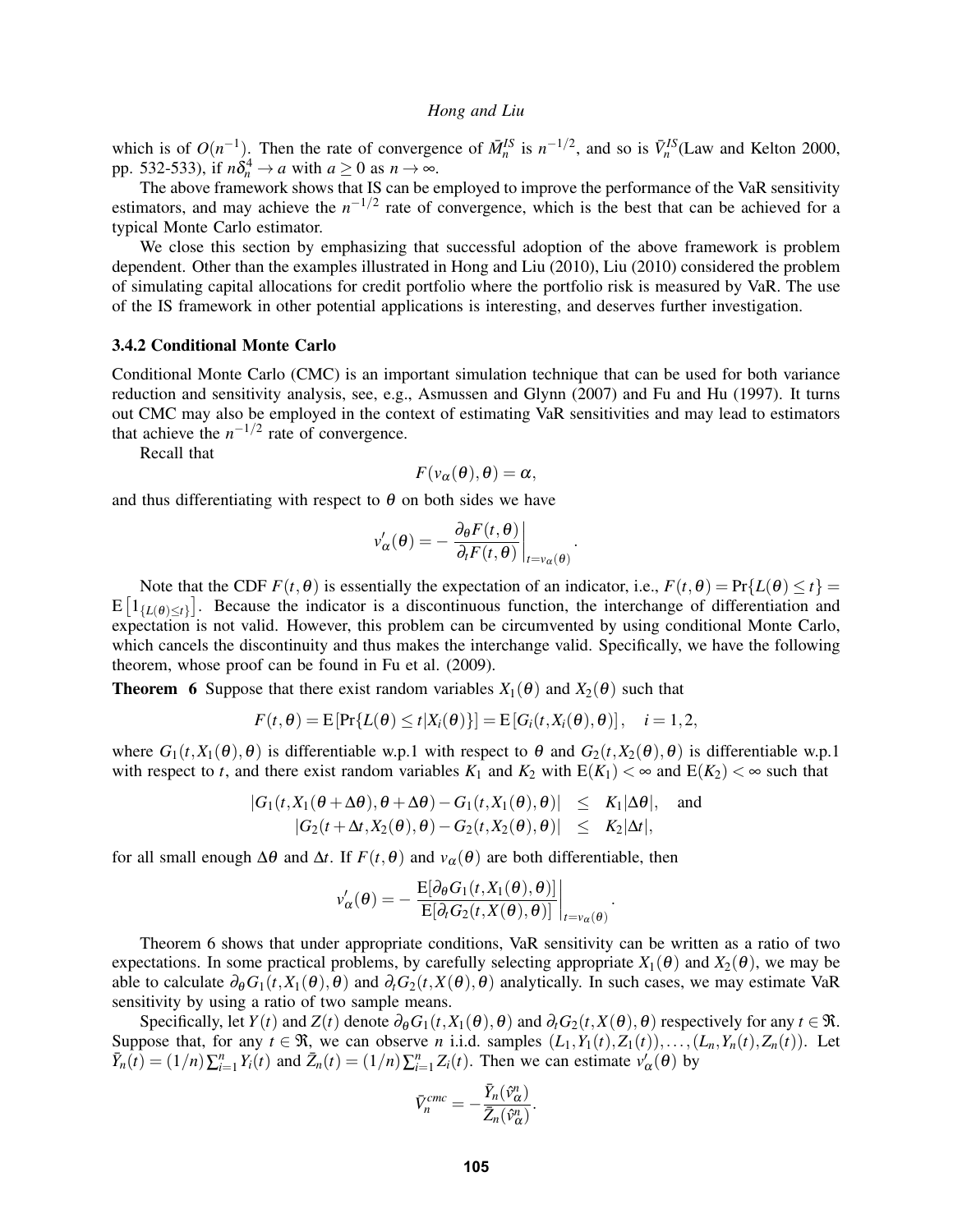which is of  $O(n^{-1})$ . Then the rate of convergence of  $\bar{M}_n^{IS}$  is  $n^{-1/2}$ , and so is  $\bar{V}_n^{IS}$  (Law and Kelton 2000, pp. 532-533), if  $n\delta_n^4 \to a$  with  $a \ge 0$  as  $n \to \infty$ .

The above framework shows that IS can be employed to improve the performance of the VaR sensitivity estimators, and may achieve the  $n^{-1/2}$  rate of convergence, which is the best that can be achieved for a typical Monte Carlo estimator.

We close this section by emphasizing that successful adoption of the above framework is problem dependent. Other than the examples illustrated in Hong and Liu (2010), Liu (2010) considered the problem of simulating capital allocations for credit portfolio where the portfolio risk is measured by VaR. The use of the IS framework in other potential applications is interesting, and deserves further investigation.

#### 3.4.2 Conditional Monte Carlo

Conditional Monte Carlo (CMC) is an important simulation technique that can be used for both variance reduction and sensitivity analysis, see, e.g., Asmussen and Glynn (2007) and Fu and Hu (1997). It turns out CMC may also be employed in the context of estimating VaR sensitivities and may lead to estimators that achieve the  $n^{-1/2}$  rate of convergence.

Recall that

$$
F(v_{\alpha}(\theta),\theta)=\alpha,
$$

and thus differentiating with respect to  $\theta$  on both sides we have

$$
v'_{\alpha}(\theta) = -\left. \frac{\partial_{\theta} F(t, \theta)}{\partial_{t} F(t, \theta)} \right|_{t = v_{\alpha}(\theta)}.
$$

Note that the CDF  $F(t, \theta)$  is essentially the expectation of an indicator, i.e.,  $F(t, \theta) = Pr\{L(\theta) \le t\}$  $E\left[1_{\{L(\theta)\leq t\}}\right]$ . Because the indicator is a discontinuous function, the interchange of differentiation and expectation is not valid. However, this problem can be circumvented by using conditional Monte Carlo, which cancels the discontinuity and thus makes the interchange valid. Specifically, we have the following theorem, whose proof can be found in Fu et al. (2009).

**Theorem 6** Suppose that there exist random variables  $X_1(\theta)$  and  $X_2(\theta)$  such that

$$
F(t, \theta) = \mathbb{E}\left[\Pr\{L(\theta) \le t | X_i(\theta)\}\right] = \mathbb{E}\left[G_i(t, X_i(\theta), \theta)\right], \quad i = 1, 2,
$$

where  $G_1(t, X_1(\theta), \theta)$  is differentiable w.p.1 with respect to  $\theta$  and  $G_2(t, X_2(\theta), \theta)$  is differentiable w.p.1 with respect to *t*, and there exist random variables  $K_1$  and  $K_2$  with  $E(K_1) < \infty$  and  $E(K_2) < \infty$  such that

$$
|G_1(t, X_1(\theta + \Delta \theta), \theta + \Delta \theta) - G_1(t, X_1(\theta), \theta)| \leq K_1 |\Delta \theta|, \text{ and}
$$
  

$$
|G_2(t + \Delta t, X_2(\theta), \theta) - G_2(t, X_2(\theta), \theta)| \leq K_2 |\Delta t|,
$$

for all small enough  $\Delta\theta$  and  $\Delta t$ . If  $F(t, \theta)$  and  $v_\alpha(\theta)$  are both differentiable, then

$$
v'_{\alpha}(\theta) = -\frac{\mathrm{E}[\partial_{\theta}G_1(t, X_1(\theta), \theta)]}{\mathrm{E}[\partial_t G_2(t, X(\theta), \theta)]}\bigg|_{t=v_{\alpha}(\theta)}.
$$

Theorem 6 shows that under appropriate conditions, VaR sensitivity can be written as a ratio of two expectations. In some practical problems, by carefully selecting appropriate  $X_1(\theta)$  and  $X_2(\theta)$ , we may be able to calculate  $\partial_{\theta}G_1(t, X_1(\theta), \theta)$  and  $\partial_tG_2(t, X(\theta), \theta)$  analytically. In such cases, we may estimate VaR sensitivity by using a ratio of two sample means.

Specifically, let *Y*(*t*) and *Z*(*t*) denote  $\partial_{\theta}G_1(t, X_1(\theta), \theta)$  and  $\partial_tG_2(t, X(\theta), \theta)$  respectively for any *t* ∈ R. Suppose that, for any  $t \in \mathcal{R}$ , we can observe *n* i.i.d. samples  $(L_1, Y_1(t), Z_1(t)), \ldots, (L_n, Y_n(t), Z_n(t))$ . Let  $\overline{Y}_n(t) = (1/n) \sum_{i=1}^n Y_i(t)$  and  $\overline{Z}_n(t) = (1/n) \sum_{i=1}^n Z_i(t)$ . Then we can estimate  $v'_\alpha(\theta)$  by

$$
\bar{V}_n^{cmc} = -\frac{\bar{Y}_n(\hat{v}_\alpha^n)}{\bar{Z}_n(\hat{v}_\alpha^n)}.
$$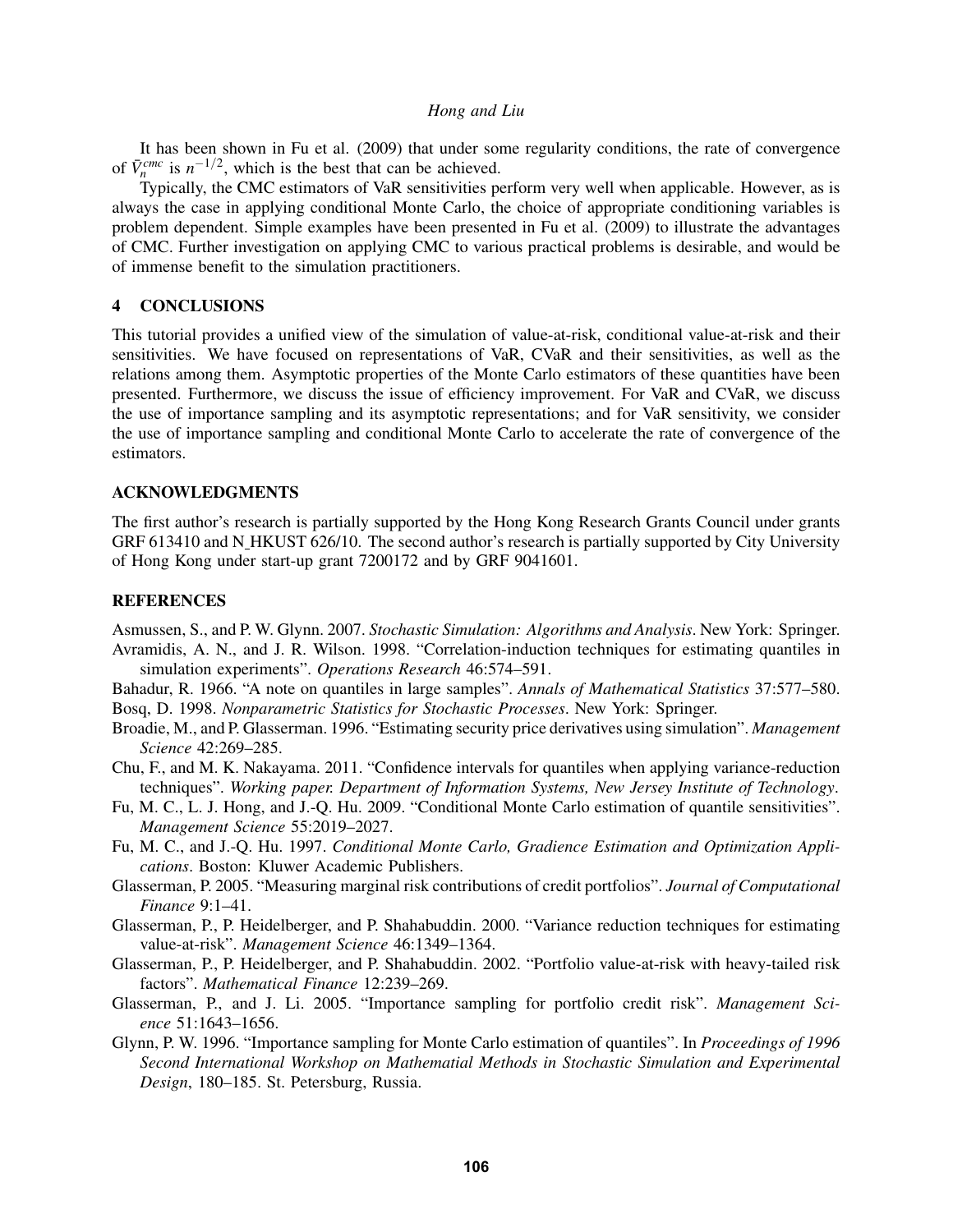It has been shown in Fu et al. (2009) that under some regularity conditions, the rate of convergence of  $\bar{V}_n^{cmc}$  is  $n^{-1/2}$ , which is the best that can be achieved.

Typically, the CMC estimators of VaR sensitivities perform very well when applicable. However, as is always the case in applying conditional Monte Carlo, the choice of appropriate conditioning variables is problem dependent. Simple examples have been presented in Fu et al. (2009) to illustrate the advantages of CMC. Further investigation on applying CMC to various practical problems is desirable, and would be of immense benefit to the simulation practitioners.

# 4 CONCLUSIONS

This tutorial provides a unified view of the simulation of value-at-risk, conditional value-at-risk and their sensitivities. We have focused on representations of VaR, CVaR and their sensitivities, as well as the relations among them. Asymptotic properties of the Monte Carlo estimators of these quantities have been presented. Furthermore, we discuss the issue of efficiency improvement. For VaR and CVaR, we discuss the use of importance sampling and its asymptotic representations; and for VaR sensitivity, we consider the use of importance sampling and conditional Monte Carlo to accelerate the rate of convergence of the estimators.

### ACKNOWLEDGMENTS

The first author's research is partially supported by the Hong Kong Research Grants Council under grants GRF 613410 and N HKUST 626/10. The second author's research is partially supported by City University of Hong Kong under start-up grant 7200172 and by GRF 9041601.

# **REFERENCES**

Asmussen, S., and P. W. Glynn. 2007. *Stochastic Simulation: Algorithms and Analysis*. New York: Springer. Avramidis, A. N., and J. R. Wilson. 1998. "Correlation-induction techniques for estimating quantiles in simulation experiments". *Operations Research* 46:574–591.

Bahadur, R. 1966. "A note on quantiles in large samples". *Annals of Mathematical Statistics* 37:577–580. Bosq, D. 1998. *Nonparametric Statistics for Stochastic Processes*. New York: Springer.

- Broadie, M., and P. Glasserman. 1996. "Estimating security price derivatives using simulation". *Management Science* 42:269–285.
- Chu, F., and M. K. Nakayama. 2011. "Confidence intervals for quantiles when applying variance-reduction techniques". *Working paper. Department of Information Systems, New Jersey Institute of Technology*.
- Fu, M. C., L. J. Hong, and J.-Q. Hu. 2009. "Conditional Monte Carlo estimation of quantile sensitivities". *Management Science* 55:2019–2027.
- Fu, M. C., and J.-Q. Hu. 1997. *Conditional Monte Carlo, Gradience Estimation and Optimization Applications*. Boston: Kluwer Academic Publishers.
- Glasserman, P. 2005. "Measuring marginal risk contributions of credit portfolios". *Journal of Computational Finance* 9:1–41.
- Glasserman, P., P. Heidelberger, and P. Shahabuddin. 2000. "Variance reduction techniques for estimating value-at-risk". *Management Science* 46:1349–1364.
- Glasserman, P., P. Heidelberger, and P. Shahabuddin. 2002. "Portfolio value-at-risk with heavy-tailed risk factors". *Mathematical Finance* 12:239–269.
- Glasserman, P., and J. Li. 2005. "Importance sampling for portfolio credit risk". *Management Science* 51:1643–1656.
- Glynn, P. W. 1996. "Importance sampling for Monte Carlo estimation of quantiles". In *Proceedings of 1996 Second International Workshop on Mathematial Methods in Stochastic Simulation and Experimental Design*, 180–185. St. Petersburg, Russia.